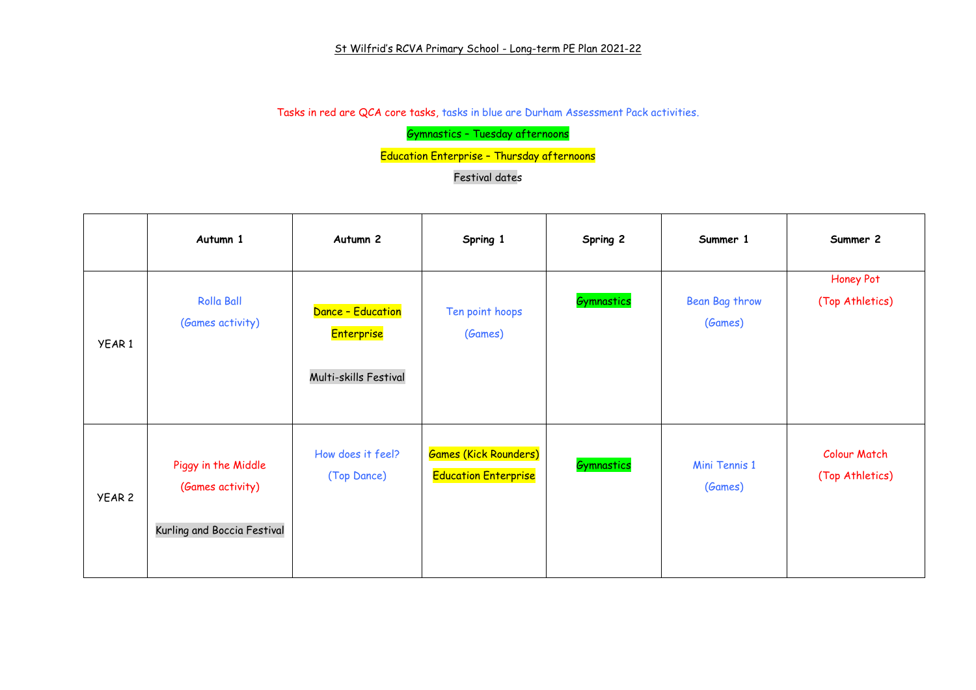## St Wilfrid's RCVA Primary School - Long-term PE Plan 2021-22

Tasks in red are QCA core tasks, tasks in blue are Durham Assessment Pack activities.

Gymnastics – Tuesday afternoons

Education Enterprise – Thursday afternoons

Festival dates

|                   | Autumn 1                                                               | Autumn 2                                                 | Spring 1                                                    | Spring 2   | Summer 1                  | Summer 2                               |
|-------------------|------------------------------------------------------------------------|----------------------------------------------------------|-------------------------------------------------------------|------------|---------------------------|----------------------------------------|
| YEAR 1            | <b>Rolla Ball</b><br>(Games activity)                                  | Dance - Education<br>Enterprise<br>Multi-skills Festival | Ten point hoops<br>(Games)                                  | Gymnastics | Bean Bag throw<br>(Games) | Honey Pot<br>(Top Athletics)           |
| YEAR <sub>2</sub> | Piggy in the Middle<br>(Games activity)<br>Kurling and Boccia Festival | How does it feel?<br>(Top Dance)                         | <b>Games (Kick Rounders)</b><br><b>Education Enterprise</b> | Gymnastics | Mini Tennis 1<br>(Games)  | <b>Colour Match</b><br>(Top Athletics) |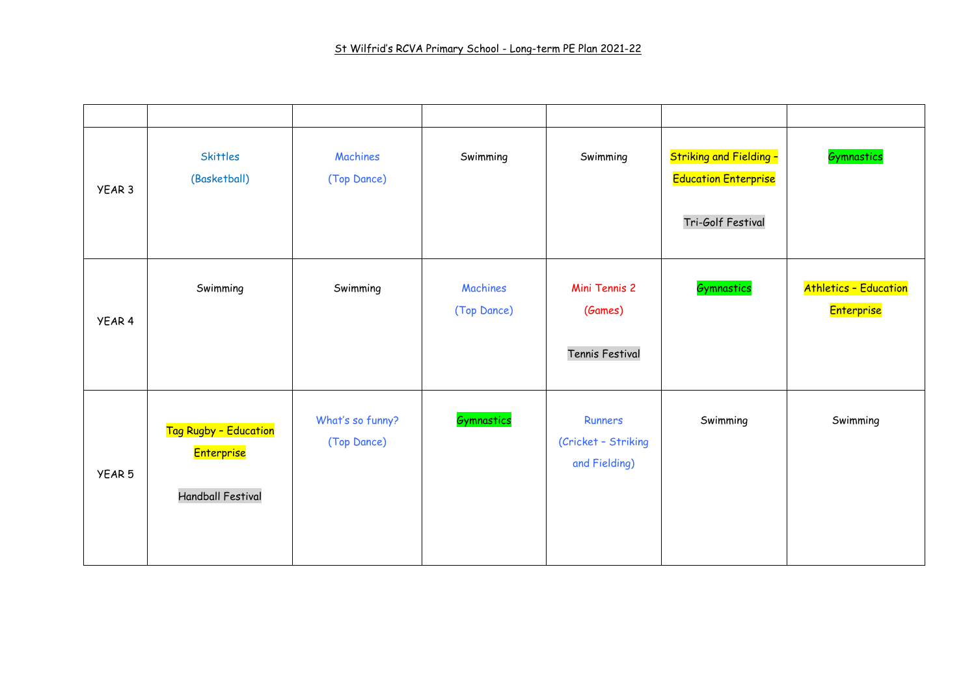| YEAR <sub>3</sub> | <b>Skittles</b><br>(Basketball)                                 | <b>Machines</b><br>(Top Dance)  | Swimming                | Swimming                                        | <b>Striking and Fielding -</b><br><b>Education Enterprise</b><br>Tri-Golf Festival | Gymnastics                                 |
|-------------------|-----------------------------------------------------------------|---------------------------------|-------------------------|-------------------------------------------------|------------------------------------------------------------------------------------|--------------------------------------------|
| YEAR 4            | Swimming                                                        | Swimming                        | Machines<br>(Top Dance) | Mini Tennis 2<br>(Games)<br>Tennis Festival     | Gymnastics                                                                         | <b>Athletics - Education</b><br>Enterprise |
| YEAR 5            | Tag Rugby - Education<br>Enterprise<br><b>Handball Festival</b> | What's so funny?<br>(Top Dance) | Gymnastics              | Runners<br>(Cricket - Striking<br>and Fielding) | Swimming                                                                           | Swimming                                   |